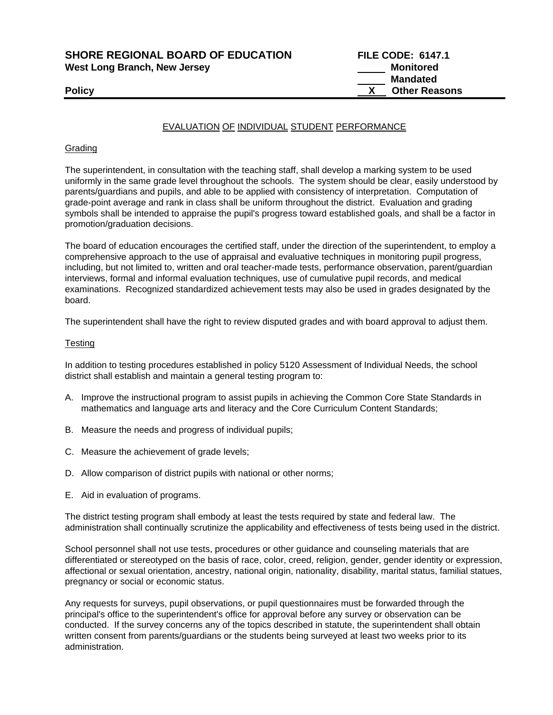**SHORE REGIONAL BOARD OF EDUCATION FILE CODE: 6147.1**  West Long Branch, New Jersey **Monitored Monitored Monitored** 

 **Mandated Policy X Other Reasons** 

## EVALUATION OF INDIVIDUAL STUDENT PERFORMANCE

#### **Grading**

The superintendent, in consultation with the teaching staff, shall develop a marking system to be used uniformly in the same grade level throughout the schools. The system should be clear, easily understood by parents/guardians and pupils, and able to be applied with consistency of interpretation. Computation of grade-point average and rank in class shall be uniform throughout the district. Evaluation and grading symbols shall be intended to appraise the pupil's progress toward established goals, and shall be a factor in promotion/graduation decisions.

The board of education encourages the certified staff, under the direction of the superintendent, to employ a comprehensive approach to the use of appraisal and evaluative techniques in monitoring pupil progress, including, but not limited to, written and oral teacher-made tests, performance observation, parent/guardian interviews, formal and informal evaluation techniques, use of cumulative pupil records, and medical examinations. Recognized standardized achievement tests may also be used in grades designated by the board.

The superintendent shall have the right to review disputed grades and with board approval to adjust them.

#### **Testing**

In addition to testing procedures established in policy 5120 Assessment of Individual Needs, the school district shall establish and maintain a general testing program to:

- A. Improve the instructional program to assist pupils in achieving the Common Core State Standards in mathematics and language arts and literacy and the Core Curriculum Content Standards;
- B. Measure the needs and progress of individual pupils;
- C. Measure the achievement of grade levels;
- D. Allow comparison of district pupils with national or other norms;
- E. Aid in evaluation of programs.

The district testing program shall embody at least the tests required by state and federal law. The administration shall continually scrutinize the applicability and effectiveness of tests being used in the district.

School personnel shall not use tests, procedures or other guidance and counseling materials that are differentiated or stereotyped on the basis of race, color, creed, religion, gender, gender identity or expression, affectional or sexual orientation, ancestry, national origin, nationality, disability, marital status, familial statues, pregnancy or social or economic status.

Any requests for surveys, pupil observations, or pupil questionnaires must be forwarded through the principal's office to the superintendent's office for approval before any survey or observation can be conducted. If the survey concerns any of the topics described in statute, the superintendent shall obtain written consent from parents/guardians or the students being surveyed at least two weeks prior to its administration.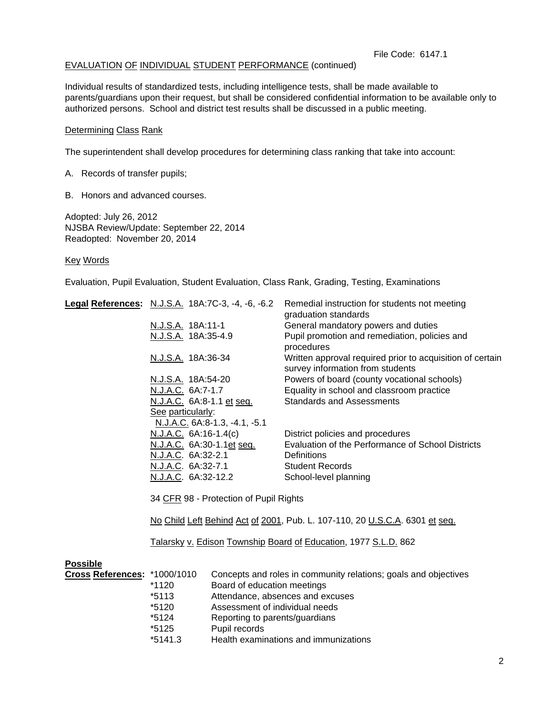#### File Code: 6147.1

### EVALUATION OF INDIVIDUAL STUDENT PERFORMANCE (continued)

Individual results of standardized tests, including intelligence tests, shall be made available to parents/guardians upon their request, but shall be considered confidential information to be available only to authorized persons. School and district test results shall be discussed in a public meeting.

#### Determining Class Rank

The superintendent shall develop procedures for determining class ranking that take into account:

A. Records of transfer pupils;

B. Honors and advanced courses.

Adopted: July 26, 2012 NJSBA Review/Update: September 22, 2014 Readopted: November 20, 2014

Key Words

Evaluation, Pupil Evaluation, Student Evaluation, Class Rank, Grading, Testing, Examinations

| Legal References: N.J.S.A. 18A:7C-3, -4, -6, -6.2                           | Remedial instruction for students not meeting<br>graduation standards                         |
|-----------------------------------------------------------------------------|-----------------------------------------------------------------------------------------------|
| N.J.S.A. 18A:11-1                                                           | General mandatory powers and duties                                                           |
| N.J.S.A. 18A:35-4.9                                                         | Pupil promotion and remediation, policies and<br>procedures                                   |
| <u>N.J.S.A.</u> 18A:36-34                                                   | Written approval required prior to acquisition of certain<br>survey information from students |
| N.J.S.A. 18A:54-20                                                          | Powers of board (county vocational schools)                                                   |
| N.J.A.C. 6A:7-1.7                                                           | Equality in school and classroom practice                                                     |
| N.J.A.C. 6A:8-1.1 et seq.                                                   | <b>Standards and Assessments</b>                                                              |
| See particularly:                                                           |                                                                                               |
| N.J.A.C. 6A:8-1.3, -4.1, -5.1                                               |                                                                                               |
| N.J.A.C. 6A:16-1.4(c)                                                       | District policies and procedures                                                              |
| N.J.A.C. 6A:30-1.1et seq.                                                   | Evaluation of the Performance of School Districts                                             |
| N.J.A.C. 6A:32-2.1                                                          | <b>Definitions</b>                                                                            |
| N.J.A.C. 6A:32-7.1                                                          | <b>Student Records</b>                                                                        |
| N.J.A.C. 6A:32-12.2                                                         | School-level planning                                                                         |
| 34 CFR 98 - Protection of Pupil Rights                                      |                                                                                               |
| No Child Left Behind Act of 2001, Pub. L. 107-110, 20 U.S.C.A. 6301 et seq. |                                                                                               |

Talarsky v. Edison Township Board of Education, 1977 S.L.D. 862

| <b>Possible</b>              |           |                                                                 |
|------------------------------|-----------|-----------------------------------------------------------------|
| Cross References: *1000/1010 |           | Concepts and roles in community relations; goals and objectives |
|                              | $*1120$   | Board of education meetings                                     |
|                              | *5113     | Attendance, absences and excuses                                |
|                              | *5120     | Assessment of individual needs                                  |
|                              | $*5124$   | Reporting to parents/guardians                                  |
|                              | *5125     | Pupil records                                                   |
|                              | $*5141.3$ | Health examinations and immunizations                           |